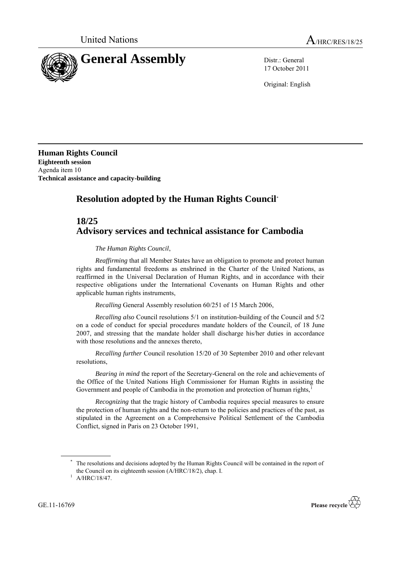

17 October 2011

Original: English

**Human Rights Council Eighteenth session** Agenda item 10 **Technical assistance and capacity-building**

# **Resolution adopted by the Human Rights Council**\*

## **18/25 Advisory services and technical assistance for Cambodia**

*The Human Rights Council*,

*Reaffirming* that all Member States have an obligation to promote and protect human rights and fundamental freedoms as enshrined in the Charter of the United Nations, as reaffirmed in the Universal Declaration of Human Rights, and in accordance with their respective obligations under the International Covenants on Human Rights and other applicable human rights instruments,

*Recalling* General Assembly resolution 60/251 of 15 March 2006,

*Recalling also* Council resolutions 5/1 on institution-building of the Council and 5/2 on a code of conduct for special procedures mandate holders of the Council, of 18 June 2007, and stressing that the mandate holder shall discharge his/her duties in accordance with those resolutions and the annexes thereto,

*Recalling further* Council resolution 15/20 of 30 September 2010 and other relevant resolutions,

*Bearing in mind* the report of the Secretary-General on the role and achievements of the Office of the United Nations High Commissioner for Human Rights in assisting the Government and people of Cambodia in the promotion and protection of human rights,

*Recognizing* that the tragic history of Cambodia requires special measures to ensure the protection of human rights and the non-return to the policies and practices of the past, as stipulated in the Agreement on a Comprehensive Political Settlement of the Cambodia Conflict, signed in Paris on 23 October 1991,

GE.11-16769



The resolutions and decisions adopted by the Human Rights Council will be contained in the report of the Council on its eighteenth session (A/HRC/18/2), chap. I.

 $1$  A/HRC/18/47.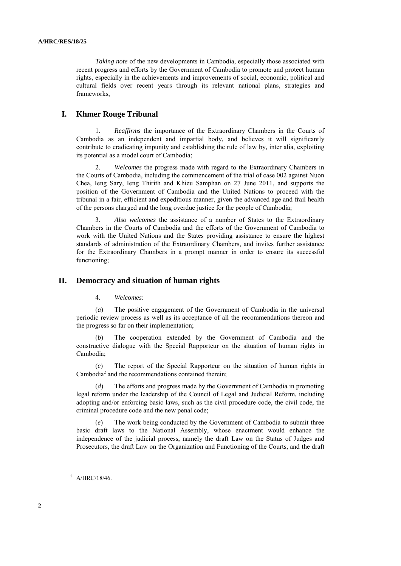*Taking note* of the new developments in Cambodia, especially those associated with recent progress and efforts by the Government of Cambodia to promote and protect human rights, especially in the achievements and improvements of social, economic, political and cultural fields over recent years through its relevant national plans, strategies and frameworks,

## **I. Khmer Rouge Tribunal**

1. *Reaffirms* the importance of the Extraordinary Chambers in the Courts of Cambodia as an independent and impartial body, and believes it will significantly contribute to eradicating impunity and establishing the rule of law by, inter alia, exploiting its potential as a model court of Cambodia;

2. *Welcomes* the progress made with regard to the Extraordinary Chambers in the Courts of Cambodia, including the commencement of the trial of case 002 against Nuon Chea, Ieng Sary, Ieng Thirith and Khieu Samphan on 27 June 2011, and supports the position of the Government of Cambodia and the United Nations to proceed with the tribunal in a fair, efficient and expeditious manner, given the advanced age and frail health of the persons charged and the long overdue justice for the people of Cambodia;

3. *Also welcomes* the assistance of a number of States to the Extraordinary Chambers in the Courts of Cambodia and the efforts of the Government of Cambodia to work with the United Nations and the States providing assistance to ensure the highest standards of administration of the Extraordinary Chambers, and invites further assistance for the Extraordinary Chambers in a prompt manner in order to ensure its successful functioning;

#### **II. Democracy and situation of human rights**

4. *Welcomes*:

(*a*) The positive engagement of the Government of Cambodia in the universal periodic review process as well as its acceptance of all the recommendations thereon and the progress so far on their implementation;

(*b*) The cooperation extended by the Government of Cambodia and the constructive dialogue with the Special Rapporteur on the situation of human rights in Cambodia;

(*c*) The report of the Special Rapporteur on the situation of human rights in Cambodia<sup>2</sup> and the recommendations contained therein;

(*d*) The efforts and progress made by the Government of Cambodia in promoting legal reform under the leadership of the Council of Legal and Judicial Reform, including adopting and/or enforcing basic laws, such as the civil procedure code, the civil code, the criminal procedure code and the new penal code;

(*e*) The work being conducted by the Government of Cambodia to submit three basic draft laws to the National Assembly, whose enactment would enhance the independence of the judicial process, namely the draft Law on the Status of Judges and Prosecutors, the draft Law on the Organization and Functioning of the Courts, and the draft

 $^2$  A/HRC/18/46.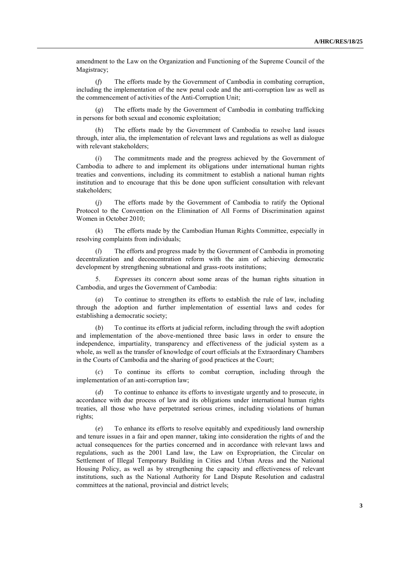amendment to the Law on the Organization and Functioning of the Supreme Council of the Magistracy;

(*f*) The efforts made by the Government of Cambodia in combating corruption, including the implementation of the new penal code and the anti-corruption law as well as the commencement of activities of the Anti-Corruption Unit;

(*g*) The efforts made by the Government of Cambodia in combating trafficking in persons for both sexual and economic exploitation;

The efforts made by the Government of Cambodia to resolve land issues through, inter alia, the implementation of relevant laws and regulations as well as dialogue with relevant stakeholders;

The commitments made and the progress achieved by the Government of Cambodia to adhere to and implement its obligations under international human rights treaties and conventions, including its commitment to establish a national human rights institution and to encourage that this be done upon sufficient consultation with relevant stakeholders;

(*j*) The efforts made by the Government of Cambodia to ratify the Optional Protocol to the Convention on the Elimination of All Forms of Discrimination against Women in October 2010;

(*k*) The efforts made by the Cambodian Human Rights Committee, especially in resolving complaints from individuals;

(*l*) The efforts and progress made by the Government of Cambodia in promoting decentralization and deconcentration reform with the aim of achieving democratic development by strengthening subnational and grass-roots institutions;

5. *Expresses its concern* about some areas of the human rights situation in Cambodia, and urges the Government of Cambodia:

To continue to strengthen its efforts to establish the rule of law, including through the adoption and further implementation of essential laws and codes for establishing a democratic society;

(*b*) To continue its efforts at judicial reform, including through the swift adoption and implementation of the above-mentioned three basic laws in order to ensure the independence, impartiality, transparency and effectiveness of the judicial system as a whole, as well as the transfer of knowledge of court officials at the Extraordinary Chambers in the Courts of Cambodia and the sharing of good practices at the Court;

(*c*) To continue its efforts to combat corruption, including through the implementation of an anti-corruption law;

(*d*) To continue to enhance its efforts to investigate urgently and to prosecute, in accordance with due process of law and its obligations under international human rights treaties, all those who have perpetrated serious crimes, including violations of human rights;

(*e*) To enhance its efforts to resolve equitably and expeditiously land ownership and tenure issues in a fair and open manner, taking into consideration the rights of and the actual consequences for the parties concerned and in accordance with relevant laws and regulations, such as the 2001 Land law, the Law on Expropriation, the Circular on Settlement of Illegal Temporary Building in Cities and Urban Areas and the National Housing Policy, as well as by strengthening the capacity and effectiveness of relevant institutions, such as the National Authority for Land Dispute Resolution and cadastral committees at the national, provincial and district levels;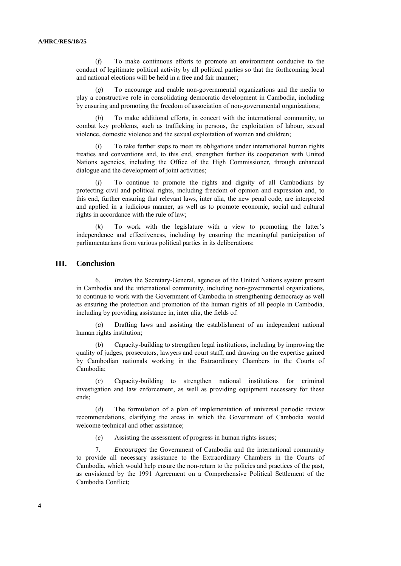(*f*) To make continuous efforts to promote an environment conducive to the conduct of legitimate political activity by all political parties so that the forthcoming local and national elections will be held in a free and fair manner;

To encourage and enable non-governmental organizations and the media to play a constructive role in consolidating democratic development in Cambodia, including by ensuring and promoting the freedom of association of non-governmental organizations;

(*h*) To make additional efforts, in concert with the international community, to combat key problems, such as trafficking in persons, the exploitation of labour, sexual violence, domestic violence and the sexual exploitation of women and children;

(*i*) To take further steps to meet its obligations under international human rights treaties and conventions and, to this end, strengthen further its cooperation with United Nations agencies, including the Office of the High Commissioner, through enhanced dialogue and the development of joint activities;

(*j*) To continue to promote the rights and dignity of all Cambodians by protecting civil and political rights, including freedom of opinion and expression and, to this end, further ensuring that relevant laws, inter alia, the new penal code, are interpreted and applied in a judicious manner, as well as to promote economic, social and cultural rights in accordance with the rule of law;

(*k*) To work with the legislature with a view to promoting the latter's independence and effectiveness, including by ensuring the meaningful participation of parliamentarians from various political parties in its deliberations;

### **III. Conclusion**

6. *Invites* the Secretary-General, agencies of the United Nations system present in Cambodia and the international community, including non-governmental organizations, to continue to work with the Government of Cambodia in strengthening democracy as well as ensuring the protection and promotion of the human rights of all people in Cambodia, including by providing assistance in, inter alia, the fields of:

(*a*) Drafting laws and assisting the establishment of an independent national human rights institution;

Capacity-building to strengthen legal institutions, including by improving the quality of judges, prosecutors, lawyers and court staff, and drawing on the expertise gained by Cambodian nationals working in the Extraordinary Chambers in the Courts of Cambodia;

(*c*) Capacity-building to strengthen national institutions for criminal investigation and law enforcement, as well as providing equipment necessary for these ends;

(*d*) The formulation of a plan of implementation of universal periodic review recommendations, clarifying the areas in which the Government of Cambodia would welcome technical and other assistance;

(*e*) Assisting the assessment of progress in human rights issues;

7. *Encourages* the Government of Cambodia and the international community to provide all necessary assistance to the Extraordinary Chambers in the Courts of Cambodia, which would help ensure the non-return to the policies and practices of the past, as envisioned by the 1991 Agreement on a Comprehensive Political Settlement of the Cambodia Conflict;